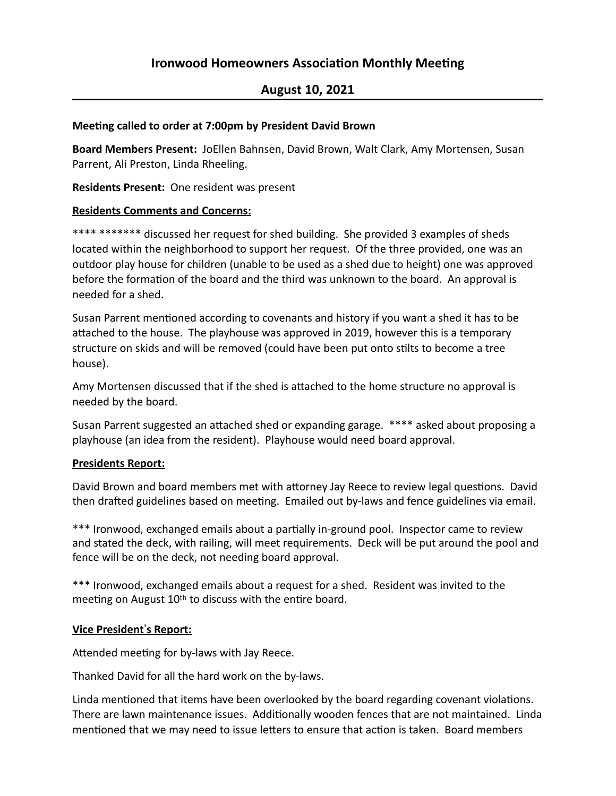# **Ironwood Homeowners Association Monthly Meeting**

## **August 10, 2021**

#### **Meeting called to order at 7:00pm by President David Brown**

Board Members Present: JoEllen Bahnsen, David Brown, Walt Clark, Amy Mortensen, Susan Parrent, Ali Preston, Linda Rheeling.

**Residents Present:** One resident was present

#### **Residents Comments and Concerns:**

\*\*\*\* \*\*\*\*\*\*\* discussed her request for shed building. She provided 3 examples of sheds located within the neighborhood to support her request. Of the three provided, one was an outdoor play house for children (unable to be used as a shed due to height) one was approved before the formation of the board and the third was unknown to the board. An approval is needed for a shed.

Susan Parrent mentioned according to covenants and history if you want a shed it has to be attached to the house. The playhouse was approved in 2019, however this is a temporary structure on skids and will be removed (could have been put onto stilts to become a tree house).

Amy Mortensen discussed that if the shed is attached to the home structure no approval is needed by the board.

Susan Parrent suggested an attached shed or expanding garage. \*\*\*\* asked about proposing a playhouse (an idea from the resident). Playhouse would need board approval.

### **Presidents Report:**

David Brown and board members met with attorney Jay Reece to review legal questions. David then drafted guidelines based on meeting. Emailed out by-laws and fence guidelines via email.

\*\*\* Ironwood, exchanged emails about a partially in-ground pool. Inspector came to review and stated the deck, with railing, will meet requirements. Deck will be put around the pool and fence will be on the deck, not needing board approval.

\*\*\* Ironwood, exchanged emails about a request for a shed. Resident was invited to the meeting on August  $10<sup>th</sup>$  to discuss with the entire board.

### **<u>Vice President's Report:</u>**

Attended meeting for by-laws with Jay Reece.

Thanked David for all the hard work on the by-laws.

Linda mentioned that items have been overlooked by the board regarding covenant violations. There are lawn maintenance issues. Additionally wooden fences that are not maintained. Linda mentioned that we may need to issue letters to ensure that action is taken. Board members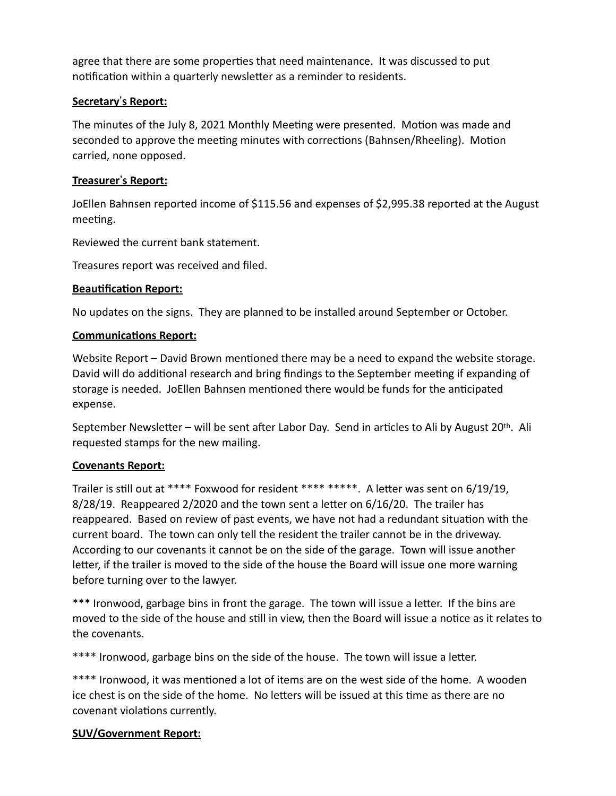agree that there are some properties that need maintenance. It was discussed to put notification within a quarterly newsletter as a reminder to residents.

### **Secretary**!**s Report:**

The minutes of the July 8, 2021 Monthly Meeting were presented. Motion was made and seconded to approve the meeting minutes with corrections (Bahnsen/Rheeling). Motion carried, none opposed.

### **Treasurer's Report:**

JoEllen Bahnsen reported income of \$115.56 and expenses of \$2,995.38 reported at the August meeting.

Reviewed the current bank statement.

Treasures report was received and filed.

### **Beautification Report:**

No updates on the signs. They are planned to be installed around September or October.

### **Communications Report:**

Website Report – David Brown mentioned there may be a need to expand the website storage. David will do additional research and bring findings to the September meeting if expanding of storage is needed. JoEllen Bahnsen mentioned there would be funds for the anticipated expense.

September Newsletter – will be sent after Labor Day. Send in articles to Ali by August 20<sup>th</sup>. Ali requested stamps for the new mailing.

### **Covenants Report:**

Trailer is still out at \*\*\*\* Foxwood for resident \*\*\*\* \*\*\*\*\*. A letter was sent on  $6/19/19$ ,  $8/28/19$ . Reappeared  $2/2020$  and the town sent a letter on  $6/16/20$ . The trailer has reappeared. Based on review of past events, we have not had a redundant situation with the current board. The town can only tell the resident the trailer cannot be in the driveway. According to our covenants it cannot be on the side of the garage. Town will issue another letter, if the trailer is moved to the side of the house the Board will issue one more warning before turning over to the lawyer.

\*\*\* Ironwood, garbage bins in front the garage. The town will issue a letter. If the bins are moved to the side of the house and still in view, then the Board will issue a notice as it relates to the covenants.

\*\*\*\* Ironwood, garbage bins on the side of the house. The town will issue a letter.

\*\*\*\* Ironwood, it was mentioned a lot of items are on the west side of the home. A wooden ice chest is on the side of the home. No letters will be issued at this time as there are no covenant violations currently.

### **SUV/Government Report:**